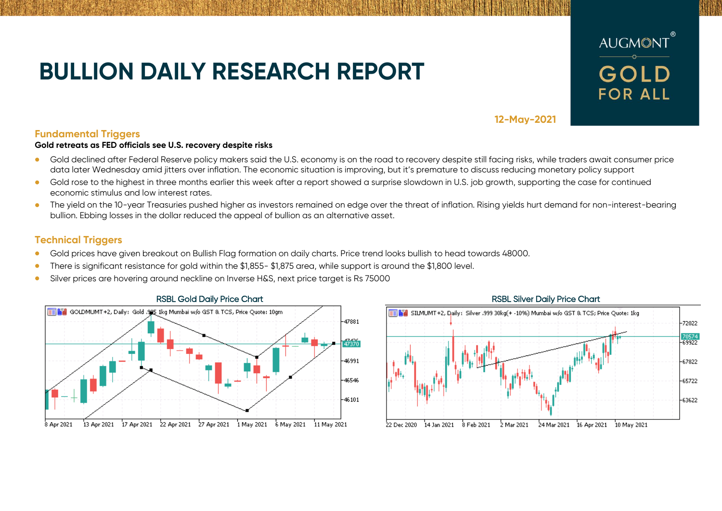# **BULLION DAILY RESEARCH REPORT**



**12-May-2021**

## **Fundamental Triggers**

### **Gold retreats as FED officials see U.S. recovery despite risks**

- Gold declined after Federal Reserve policy makers said the U.S. economy is on the road to recovery despite still facing risks, while traders await consumer price data later Wednesday amid jitters over inflation. The economic situation is improving, but it's premature to discuss reducing monetary policy support
- Gold rose to the highest in three months earlier this week after a report showed a surprise slowdown in U.S. job growth, supporting the case for continued economic stimulus and low interest rates.
- The vield on the 10-year Treasuries pushed higher as investors remained on edge over the threat of inflation. Rising yields hurt demand for non-interest-bearing bullion. Ebbing losses in the dollar reduced the appeal of bullion as an alternative asset.

## **Technical Triggers**

- Gold prices have given breakout on Bullish Flag formation on daily charts. Price trend looks bullish to head towards 48000.
- There is significant resistance for gold within the \$1,855- \$1,875 area, while support is around the \$1,800 level.
- Silver prices are hovering around neckline on Inverse H&S, next price target is Rs 75000